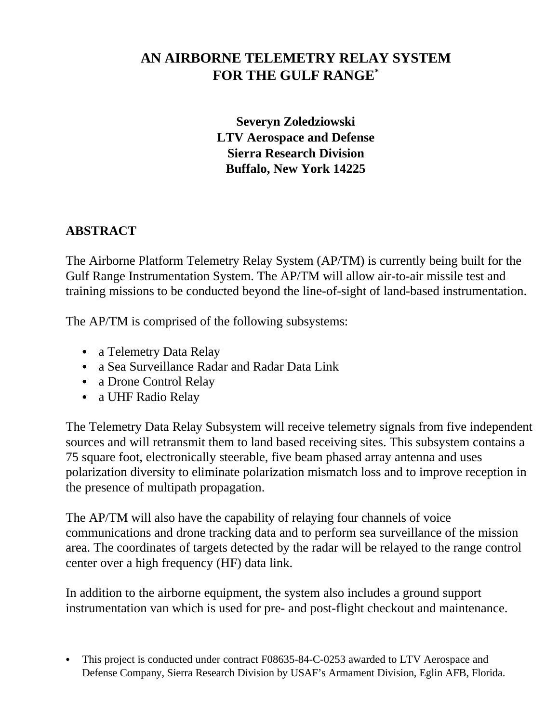# **AN AIRBORNE TELEMETRY RELAY SYSTEM FOR THE GULF RANGE\***

**Severyn Zoledziowski LTV Aerospace and Defense Sierra Research Division Buffalo, New York 14225**

## **ABSTRACT**

The Airborne Platform Telemetry Relay System (AP/TM) is currently being built for the Gulf Range Instrumentation System. The AP/TM will allow air-to-air missile test and training missions to be conducted beyond the line-of-sight of land-based instrumentation.

The AP/TM is comprised of the following subsystems:

- a Telemetry Data Relay
- a Sea Surveillance Radar and Radar Data Link
- a Drone Control Relay
- a UHF Radio Relay

The Telemetry Data Relay Subsystem will receive telemetry signals from five independent sources and will retransmit them to land based receiving sites. This subsystem contains a 75 square foot, electronically steerable, five beam phased array antenna and uses polarization diversity to eliminate polarization mismatch loss and to improve reception in the presence of multipath propagation.

The AP/TM will also have the capability of relaying four channels of voice communications and drone tracking data and to perform sea surveillance of the mission area. The coordinates of targets detected by the radar will be relayed to the range control center over a high frequency (HF) data link.

In addition to the airborne equipment, the system also includes a ground support instrumentation van which is used for pre- and post-flight checkout and maintenance.

• This project is conducted under contract F08635-84-C-0253 awarded to LTV Aerospace and Defense Company, Sierra Research Division by USAF's Armament Division, Eglin AFB, Florida.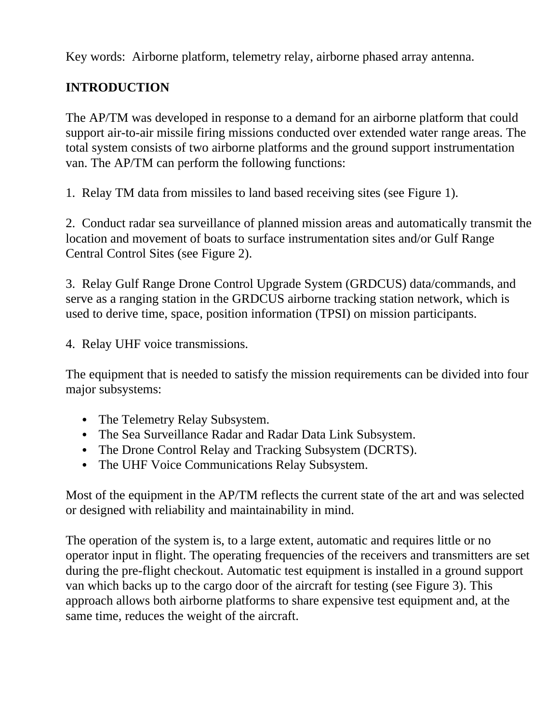Key words: Airborne platform, telemetry relay, airborne phased array antenna.

# **INTRODUCTION**

The AP/TM was developed in response to a demand for an airborne platform that could support air-to-air missile firing missions conducted over extended water range areas. The total system consists of two airborne platforms and the ground support instrumentation van. The AP/TM can perform the following functions:

1. Relay TM data from missiles to land based receiving sites (see Figure 1).

2. Conduct radar sea surveillance of planned mission areas and automatically transmit the location and movement of boats to surface instrumentation sites and/or Gulf Range Central Control Sites (see Figure 2).

3. Relay Gulf Range Drone Control Upgrade System (GRDCUS) data/commands, and serve as a ranging station in the GRDCUS airborne tracking station network, which is used to derive time, space, position information (TPSI) on mission participants.

4. Relay UHF voice transmissions.

The equipment that is needed to satisfy the mission requirements can be divided into four major subsystems:

- The Telemetry Relay Subsystem.
- The Sea Surveillance Radar and Radar Data Link Subsystem.
- The Drone Control Relay and Tracking Subsystem (DCRTS).
- The UHF Voice Communications Relay Subsystem.

Most of the equipment in the AP/TM reflects the current state of the art and was selected or designed with reliability and maintainability in mind.

The operation of the system is, to a large extent, automatic and requires little or no operator input in flight. The operating frequencies of the receivers and transmitters are set during the pre-flight checkout. Automatic test equipment is installed in a ground support van which backs up to the cargo door of the aircraft for testing (see Figure 3). This approach allows both airborne platforms to share expensive test equipment and, at the same time, reduces the weight of the aircraft.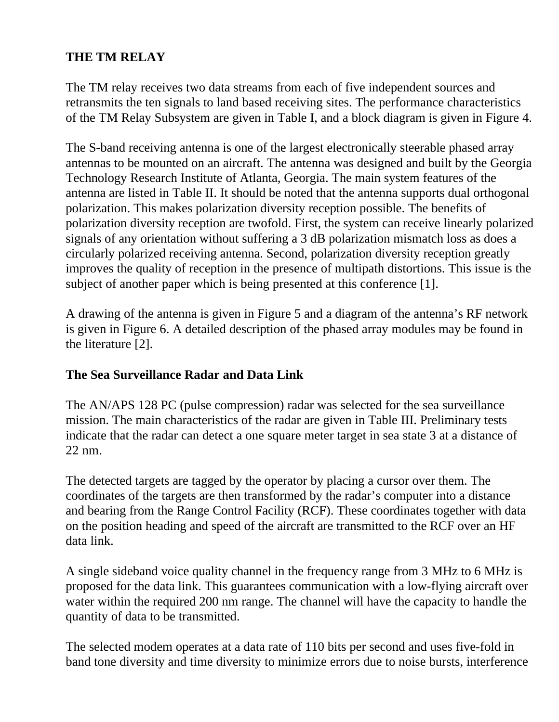## **THE TM RELAY**

The TM relay receives two data streams from each of five independent sources and retransmits the ten signals to land based receiving sites. The performance characteristics of the TM Relay Subsystem are given in Table I, and a block diagram is given in Figure 4.

The S-band receiving antenna is one of the largest electronically steerable phased array antennas to be mounted on an aircraft. The antenna was designed and built by the Georgia Technology Research Institute of Atlanta, Georgia. The main system features of the antenna are listed in Table II. It should be noted that the antenna supports dual orthogonal polarization. This makes polarization diversity reception possible. The benefits of polarization diversity reception are twofold. First, the system can receive linearly polarized signals of any orientation without suffering a 3 dB polarization mismatch loss as does a circularly polarized receiving antenna. Second, polarization diversity reception greatly improves the quality of reception in the presence of multipath distortions. This issue is the subject of another paper which is being presented at this conference [1].

A drawing of the antenna is given in Figure 5 and a diagram of the antenna's RF network is given in Figure 6. A detailed description of the phased array modules may be found in the literature [2].

## **The Sea Surveillance Radar and Data Link**

The AN/APS 128 PC (pulse compression) radar was selected for the sea surveillance mission. The main characteristics of the radar are given in Table III. Preliminary tests indicate that the radar can detect a one square meter target in sea state 3 at a distance of 22 nm.

The detected targets are tagged by the operator by placing a cursor over them. The coordinates of the targets are then transformed by the radar's computer into a distance and bearing from the Range Control Facility (RCF). These coordinates together with data on the position heading and speed of the aircraft are transmitted to the RCF over an HF data link.

A single sideband voice quality channel in the frequency range from 3 MHz to 6 MHz is proposed for the data link. This guarantees communication with a low-flying aircraft over water within the required 200 nm range. The channel will have the capacity to handle the quantity of data to be transmitted.

The selected modem operates at a data rate of 110 bits per second and uses five-fold in band tone diversity and time diversity to minimize errors due to noise bursts, interference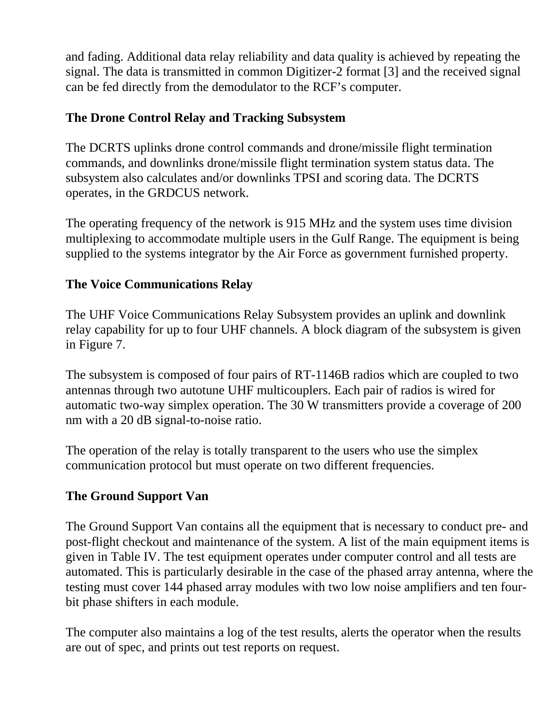and fading. Additional data relay reliability and data quality is achieved by repeating the signal. The data is transmitted in common Digitizer-2 format [3] and the received signal can be fed directly from the demodulator to the RCF's computer.

## **The Drone Control Relay and Tracking Subsystem**

The DCRTS uplinks drone control commands and drone/missile flight termination commands, and downlinks drone/missile flight termination system status data. The subsystem also calculates and/or downlinks TPSI and scoring data. The DCRTS operates, in the GRDCUS network.

The operating frequency of the network is 915 MHz and the system uses time division multiplexing to accommodate multiple users in the Gulf Range. The equipment is being supplied to the systems integrator by the Air Force as government furnished property.

## **The Voice Communications Relay**

The UHF Voice Communications Relay Subsystem provides an uplink and downlink relay capability for up to four UHF channels. A block diagram of the subsystem is given in Figure 7.

The subsystem is composed of four pairs of RT-1146B radios which are coupled to two antennas through two autotune UHF multicouplers. Each pair of radios is wired for automatic two-way simplex operation. The 30 W transmitters provide a coverage of 200 nm with a 20 dB signal-to-noise ratio.

The operation of the relay is totally transparent to the users who use the simplex communication protocol but must operate on two different frequencies.

## **The Ground Support Van**

The Ground Support Van contains all the equipment that is necessary to conduct pre- and post-flight checkout and maintenance of the system. A list of the main equipment items is given in Table IV. The test equipment operates under computer control and all tests are automated. This is particularly desirable in the case of the phased array antenna, where the testing must cover 144 phased array modules with two low noise amplifiers and ten fourbit phase shifters in each module.

The computer also maintains a log of the test results, alerts the operator when the results are out of spec, and prints out test reports on request.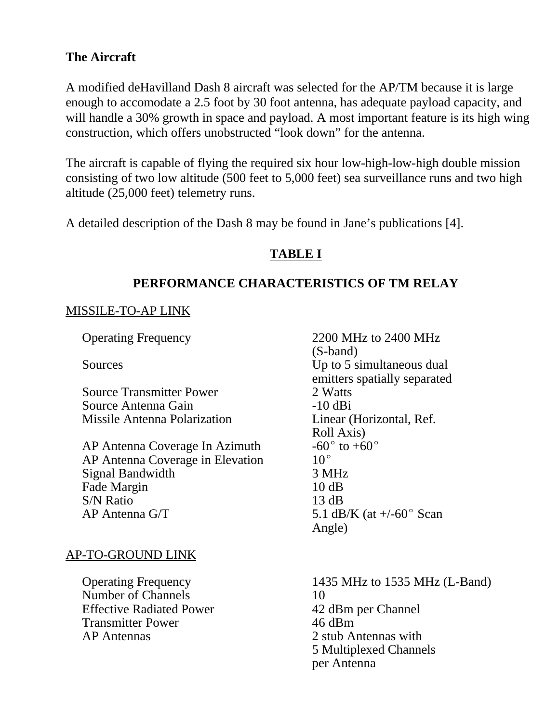## **The Aircraft**

A modified deHavilland Dash 8 aircraft was selected for the AP/TM because it is large enough to accomodate a 2.5 foot by 30 foot antenna, has adequate payload capacity, and will handle a 30% growth in space and payload. A most important feature is its high wing construction, which offers unobstructed "look down" for the antenna.

The aircraft is capable of flying the required six hour low-high-low-high double mission consisting of two low altitude (500 feet to 5,000 feet) sea surveillance runs and two high altitude (25,000 feet) telemetry runs.

A detailed description of the Dash 8 may be found in Jane's publications [4].

## **TABLE I**

### **PERFORMANCE CHARACTERISTICS OF TM RELAY**

#### MISSILE-TO-AP LINK

Source Transmitter Power 2 Watts Source Antenna Gain -10 dBi Missile Antenna Polarization Linear (Horizontal, Ref.

AP Antenna Coverage In Azimuth  $-60^{\circ}$ <br>AP Antenna Coverage in Elevation  $10^{\circ}$ AP Antenna Coverage in Elevation Signal Bandwidth 3 MHz Fade Margin 10 dB S/N Ratio 13 dB AP Antenna G/T  $5.1 \text{ dB/K}$  (at  $+/-60^{\circ}$  Scan

### AP-TO-GROUND LINK

Number of Channels 10 Effective Radiated Power 42 dBm per Channel Transmitter Power 46 dBm AP Antennas 2 stub Antennas with

Operating Frequency 2200 MHz to 2400 MHz (S-band) Sources Up to 5 simultaneous dual emitters spatially separated Roll Axis)<br> $-60^\circ$  to  $+60^\circ$ Angle)

Operating Frequency 1435 MHz to 1535 MHz (L-Band) 5 Multiplexed Channels per Antenna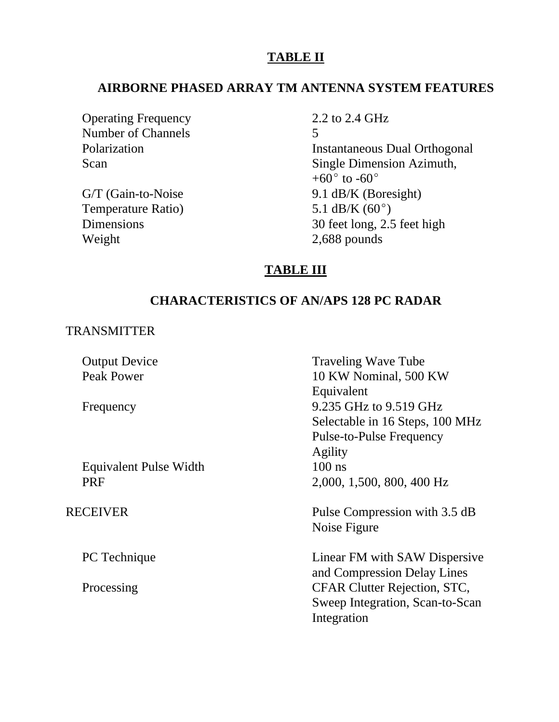### **TABLE II**

#### **AIRBORNE PHASED ARRAY TM ANTENNA SYSTEM FEATURES**

Operating Frequency 2.2 to 2.4 GHz Number of Channels 5<br>Polarization 5

Temperature Ratio)  $5.1 \text{ dB/K } (60^{\circ})$ Weight 2,688 pounds

**Instantaneous Dual Orthogonal** Scan Single Dimension Azimuth, +60 $^{\circ}$  to -60 $^{\circ}$ G/T (Gain-to-Noise 9.1 dB/K (Boresight) Dimensions 30 feet long, 2.5 feet high

### **TABLE III**

## **CHARACTERISTICS OF AN/APS 128 PC RADAR**

#### TRANSMITTER

|  | <b>Output Device</b>          | <b>Traveling Wave Tube</b>      |
|--|-------------------------------|---------------------------------|
|  | <b>Peak Power</b>             | 10 KW Nominal, 500 KW           |
|  |                               | Equivalent                      |
|  | Frequency                     | 9.235 GHz to 9.519 GHz          |
|  |                               | Selectable in 16 Steps, 100 MHz |
|  |                               | Pulse-to-Pulse Frequency        |
|  |                               | Agility                         |
|  | <b>Equivalent Pulse Width</b> | $100$ ns                        |
|  | <b>PRF</b>                    | 2,000, 1,500, 800, 400 Hz       |
|  |                               |                                 |
|  | RECEIVER                      | Pulse Compression with 3.5 dB   |
|  |                               | Noise Figure                    |
|  |                               |                                 |
|  | PC Technique                  | Linear FM with SAW Dispersive   |
|  |                               |                                 |
|  |                               | and Compression Delay Lines     |
|  | Processing                    | CFAR Clutter Rejection, STC,    |
|  |                               | Sweep Integration, Scan-to-Scan |
|  |                               | Integration                     |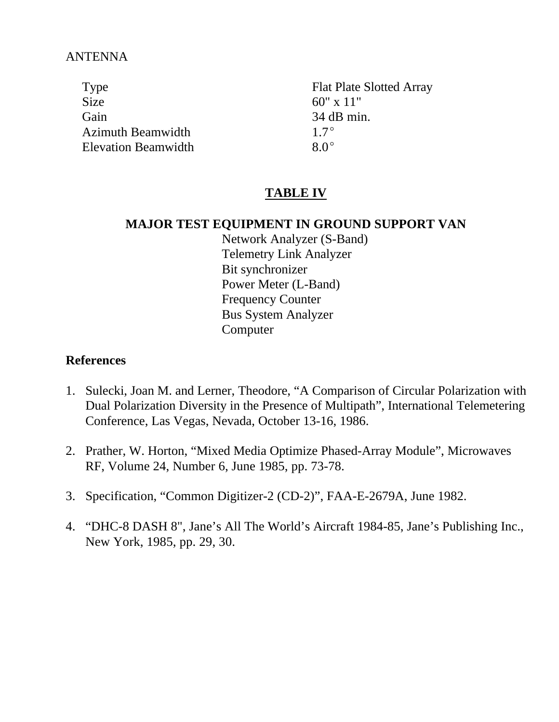### ANTENNA

Type Flat Plate Slotted Array Size  $60'' \times 11''$ Gain 34 dB min. Azimuth Beamwidth  $1.7^{\circ}$ Elevation Beamwidth  $8.0^{\circ}$ 

## **TABLE IV**

#### **MAJOR TEST EQUIPMENT IN GROUND SUPPORT VAN**

Network Analyzer (S-Band) Telemetry Link Analyzer Bit synchronizer Power Meter (L-Band) Frequency Counter Bus System Analyzer **Computer** 

### **References**

- 1. Sulecki, Joan M. and Lerner, Theodore, "A Comparison of Circular Polarization with Dual Polarization Diversity in the Presence of Multipath", International Telemetering Conference, Las Vegas, Nevada, October 13-16, 1986.
- 2. Prather, W. Horton, "Mixed Media Optimize Phased-Array Module", Microwaves RF, Volume 24, Number 6, June 1985, pp. 73-78.
- 3. Specification, "Common Digitizer-2 (CD-2)", FAA-E-2679A, June 1982.
- 4. "DHC-8 DASH 8", Jane's All The World's Aircraft 1984-85, Jane's Publishing Inc., New York, 1985, pp. 29, 30.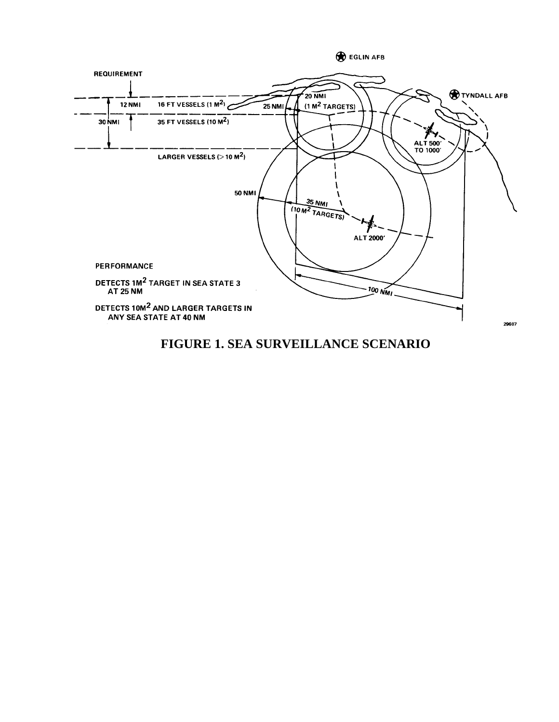

## **FIGURE 1. SEA SURVEILLANCE SCENARIO**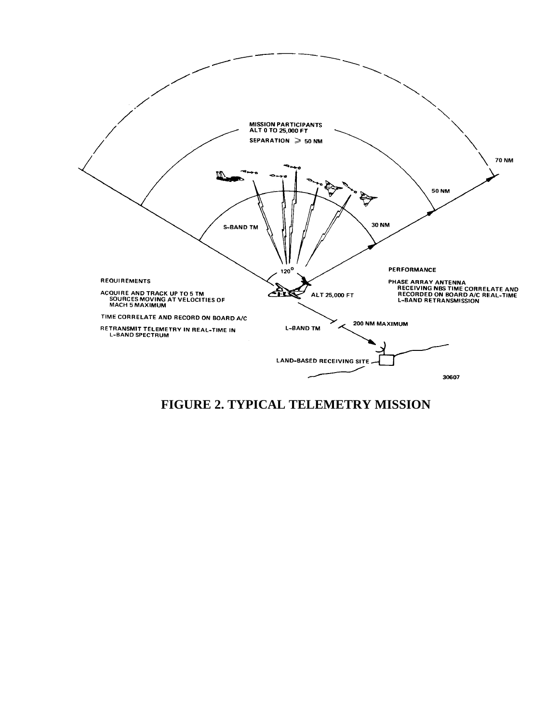

**FIGURE 2. TYPICAL TELEMETRY MISSION**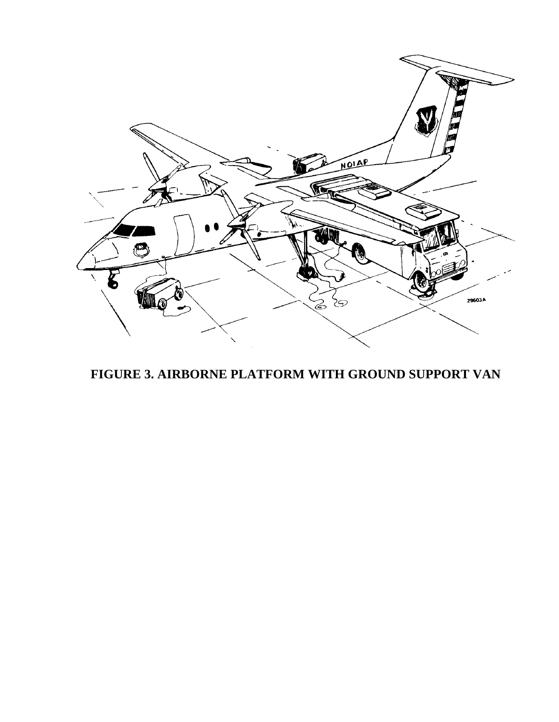

**FIGURE 3. AIRBORNE PLATFORM WITH GROUND SUPPORT VAN**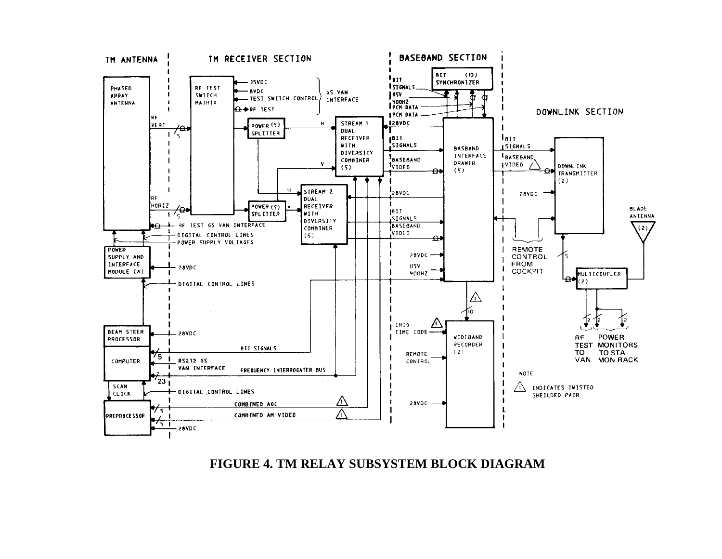### **FIGURE 4. TM RELAY SUBSYSTEM BLOCK DIAGRAM**

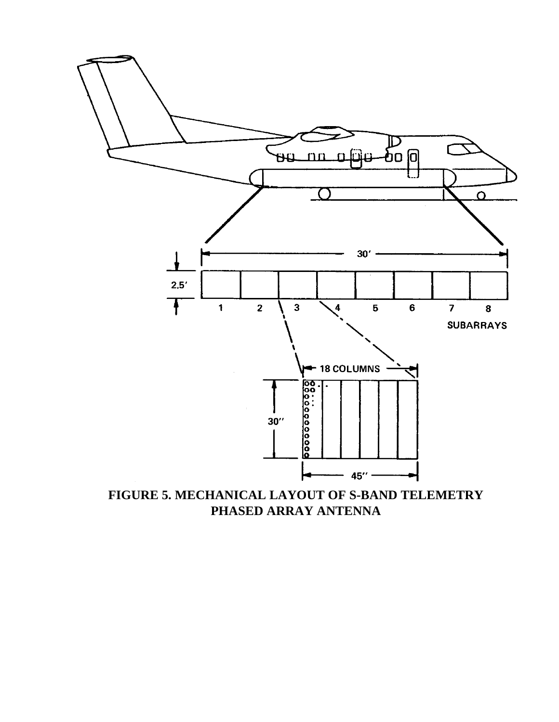

**FIGURE 5. MECHANICAL LAYOUT OF S-BAND TELEMETRY PHASED ARRAY ANTENNA**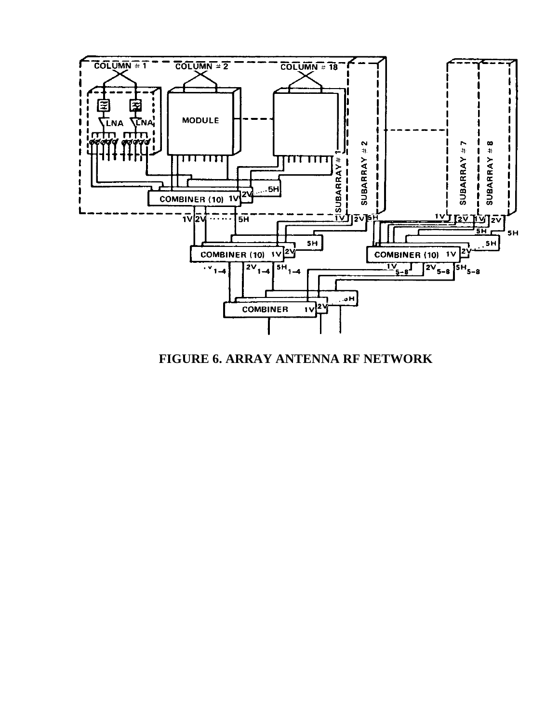

**FIGURE 6. ARRAY ANTENNA RF NETWORK**